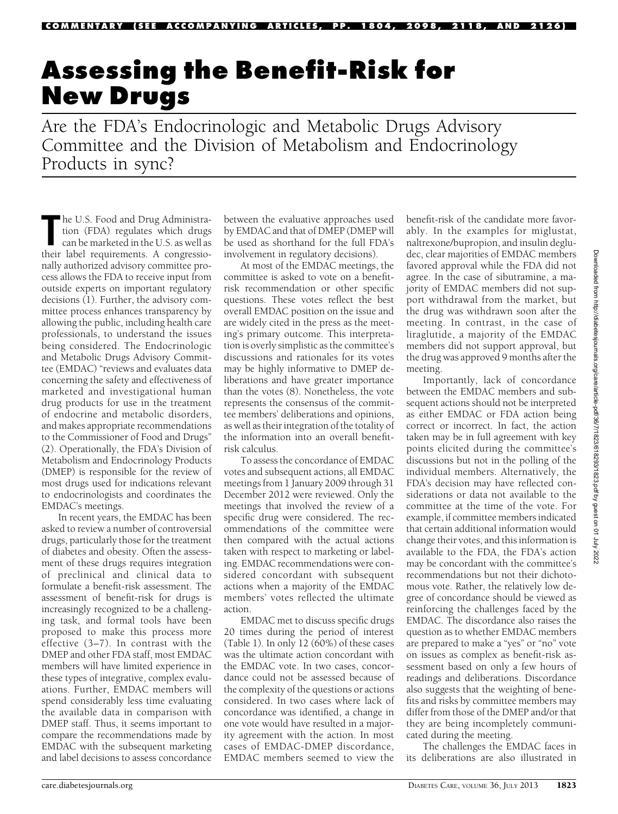# Assessing the Benefit-Risk for

 $\frac{1}{\Delta t}$  the FDA's Ends Are the FDA's Endocrinologic and Metabolic Drugs Advisory Committee and the Division of Metabolism and Endocrinology Products in sync?

The U.S. Food and Drug Administration (FDA) regulates which drugs can be marketed in the U.S. as well as their label requirements. A congressiohe U.S. Food and Drug Administration (FDA) regulates which drugs can be marketed in the U.S. as well as nally authorized advisory committee process allows the FDA to receive input from outside experts on important regulatory decisions (1). Further, the advisory committee process enhances transparency by allowing the public, including health care professionals, to understand the issues being considered. The Endocrinologic and Metabolic Drugs Advisory Committee (EMDAC) "reviews and evaluates data concerning the safety and effectiveness of marketed and investigational human drug products for use in the treatment of endocrine and metabolic disorders, and makes appropriate recommendations to the Commissioner of Food and Drugs" (2). Operationally, the FDA's Division of Metabolism and Endocrinology Products (DMEP) is responsible for the review of most drugs used for indications relevant to endocrinologists and coordinates the EMDAC's meetings.

In recent years, the EMDAC has been asked to review a number of controversial drugs, particularly those for the treatment of diabetes and obesity. Often the assessment of these drugs requires integration of preclinical and clinical data to formulate a benefit-risk assessment. The assessment of benefit-risk for drugs is increasingly recognized to be a challenging task, and formal tools have been proposed to make this process more effective (3–7). In contrast with the DMEP and other FDA staff, most EMDAC members will have limited experience in these types of integrative, complex evaluations. Further, EMDAC members will spend considerably less time evaluating the available data in comparison with DMEP staff. Thus, it seems important to compare the recommendations made by EMDAC with the subsequent marketing and label decisions to assess concordance

between the evaluative approaches used by EMDAC and that of DMEP (DMEP will be used as shorthand for the full FDA's involvement in regulatory decisions).

At most of the EMDAC meetings, the committee is asked to vote on a benefitrisk recommendation or other specific questions. These votes reflect the best overall EMDAC position on the issue and are widely cited in the press as the meeting's primary outcome. This interpretation is overly simplistic as the committee's discussions and rationales for its votes may be highly informative to DMEP deliberations and have greater importance than the votes (8). Nonetheless, the vote represents the consensus of the committee members' deliberations and opinions, as well as their integration of the totality of the information into an overall benefitrisk calculus.

To assess the concordance of EMDAC votes and subsequent actions, all EMDAC meetings from 1 January 2009 through 31 December 2012 were reviewed. Only the meetings that involved the review of a specific drug were considered. The recommendations of the committee were then compared with the actual actions taken with respect to marketing or labeling. EMDAC recommendations were considered concordant with subsequent actions when a majority of the EMDAC members' votes reflected the ultimate action.

EMDAC met to discuss specific drugs 20 times during the period of interest (Table 1). In only 12 (60%) of these cases was the ultimate action concordant with the EMDAC vote. In two cases, concordance could not be assessed because of the complexity of the questions or actions considered. In two cases where lack of concordance was identified, a change in one vote would have resulted in a majority agreement with the action. In most cases of EMDAC-DMEP discordance, EMDAC members seemed to view the

benefit-risk of the candidate more favorably. In the examples for miglustat, naltrexone/bupropion, and insulin degludec, clear majorities of EMDAC members favored approval while the FDA did not agree. In the case of sibutramine, a majority of EMDAC members did not support withdrawal from the market, but the drug was withdrawn soon after the meeting. In contrast, in the case of liraglutide, a majority of the EMDAC members did not support approval, but the drug was approved 9 months after the meeting.

Importantly, lack of concordance between the EMDAC members and subsequent actions should not be interpreted as either EMDAC or FDA action being correct or incorrect. In fact, the action taken may be in full agreement with key points elicited during the committee's discussions but not in the polling of the individual members. Alternatively, the FDA's decision may have reflected considerations or data not available to the committee at the time of the vote. For example, if committee members indicated that certain additional information would change their votes, and this information is available to the FDA, the FDA's action may be concordant with the committee's recommendations but not their dichotomous vote. Rather, the relatively low degree of concordance should be viewed as reinforcing the challenges faced by the EMDAC. The discordance also raises the question as to whether EMDAC members are prepared to make a "yes" or "no" vote on issues as complex as benefit-risk assessment based on only a few hours of readings and deliberations. Discordance also suggests that the weighting of benefits and risks by committee members may differ from those of the DMEP and/or that they are being incompletely communicated during the meeting.

The challenges the EMDAC faces in its deliberations are also illustrated in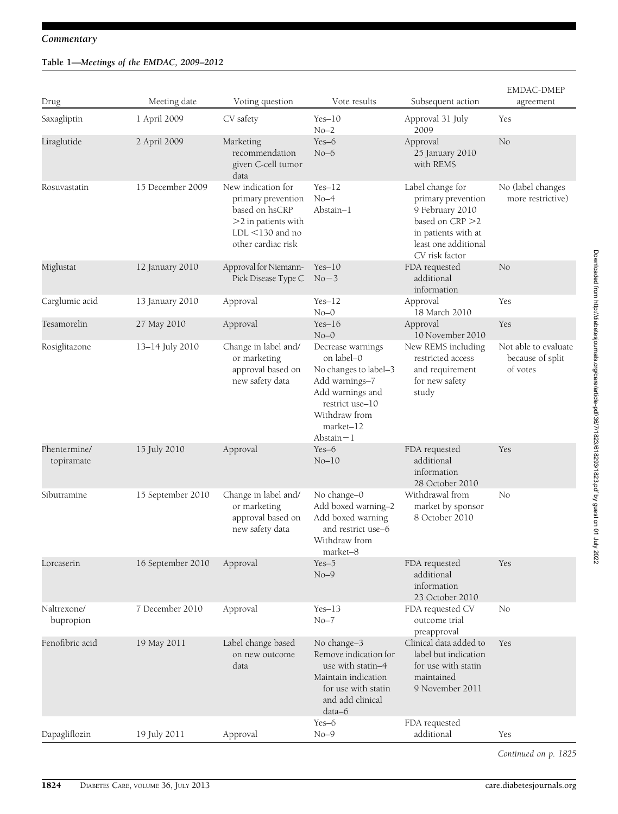# Commentary

# Table 1—Meetings of the EMDAC, 2009–2012

| Drug                       | Meeting date      | Voting question                                                                                                                  | Vote results                                                                                                                                                    | Subsequent action                                                                                                                             | <b>EMDAC-DMEP</b><br>agreement                       |
|----------------------------|-------------------|----------------------------------------------------------------------------------------------------------------------------------|-----------------------------------------------------------------------------------------------------------------------------------------------------------------|-----------------------------------------------------------------------------------------------------------------------------------------------|------------------------------------------------------|
| Saxagliptin                | 1 April 2009      | CV safety                                                                                                                        | $Yes-10$<br>$No-2$                                                                                                                                              | Approval 31 July<br>2009                                                                                                                      | Yes                                                  |
| Liraglutide                | 2 April 2009      | Marketing<br>recommendation<br>given C-cell tumor<br>data                                                                        | $Yes-6$<br>$No-6$                                                                                                                                               | Approval<br>25 January 2010<br>with REMS                                                                                                      | No                                                   |
| Rosuvastatin               | 15 December 2009  | New indication for<br>primary prevention<br>based on hsCRP<br>$>$ 2 in patients with<br>$LDL < 130$ and no<br>other cardiac risk | $Yes-12$<br>$No-4$<br>Abstain-1                                                                                                                                 | Label change for<br>primary prevention<br>9 February 2010<br>based on CRP >2<br>in patients with at<br>least one additional<br>CV risk factor | No (label changes<br>more restrictive)               |
| Miglustat                  | 12 January 2010   | Approval for Niemann-<br>Pick Disease Type C                                                                                     | $Yes-10$<br>$No-3$                                                                                                                                              | FDA requested<br>additional<br>information                                                                                                    | No                                                   |
| Carglumic acid             | 13 January 2010   | Approval                                                                                                                         | $Yes-12$<br>$No-0$                                                                                                                                              | Approval<br>18 March 2010                                                                                                                     | Yes                                                  |
| Tesamorelin                | 27 May 2010       | Approval                                                                                                                         | $Yes-16$<br>$No-0$                                                                                                                                              | Approval<br>10 November 2010                                                                                                                  | Yes                                                  |
| Rosiglitazone              | 13-14 July 2010   | Change in label and/<br>or marketing<br>approval based on<br>new safety data                                                     | Decrease warnings<br>on label-0<br>No changes to label-3<br>Add warnings-7<br>Add warnings and<br>restrict use-10<br>Withdraw from<br>market-12<br>Abstain $-1$ | New REMS including<br>restricted access<br>and requirement<br>for new safety<br>study                                                         | Not able to evaluate<br>because of split<br>of votes |
| Phentermine/<br>topiramate | 15 July 2010      | Approval                                                                                                                         | Yes-6<br>$No-10$                                                                                                                                                | FDA requested<br>additional<br>information<br>28 October 2010                                                                                 | Yes                                                  |
| Sibutramine                | 15 September 2010 | Change in label and/<br>or marketing<br>approval based on<br>new safety data                                                     | No change-0<br>Add boxed warning-2<br>Add boxed warning<br>and restrict use-6<br>Withdraw from<br>market-8                                                      | Withdrawal from<br>market by sponsor<br>8 October 2010                                                                                        | No                                                   |
| Lorcaserin                 | 16 September 2010 | Approval                                                                                                                         | $Yes-5$<br>$No-9$                                                                                                                                               | FDA requested<br>additional<br>information<br>23 October 2010                                                                                 | Yes                                                  |
| Naltrexone/<br>bupropion   | 7 December 2010   | Approval                                                                                                                         | $Yes-13$<br>$No-7$                                                                                                                                              | FDA requested CV<br>outcome trial<br>preapproval                                                                                              | No                                                   |
| Fenofibric acid            | 19 May 2011       | Label change based<br>on new outcome<br>data                                                                                     | No change-3<br>Remove indication for<br>use with statin-4<br>Maintain indication<br>for use with statin<br>and add clinical<br>data-6                           | Clinical data added to<br>label but indication<br>for use with statin<br>maintained<br>9 November 2011                                        | Yes                                                  |
| Dapagliflozin              | 19 July 2011      | Approval                                                                                                                         | Yes-6<br>$No-9$                                                                                                                                                 | FDA requested<br>additional                                                                                                                   | Yes                                                  |

Continued on p. 1825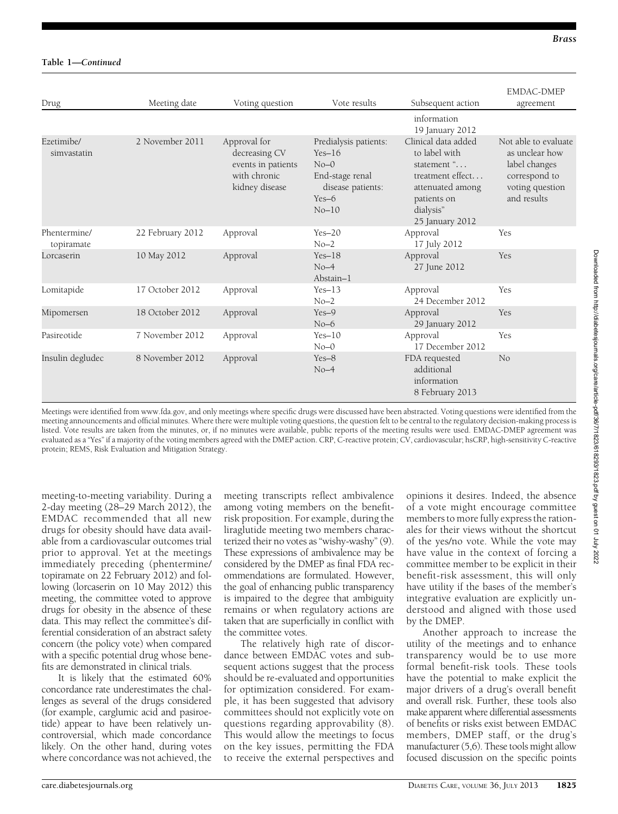| Drug                       | Meeting date     | Voting question                                                                       | Vote results                                                                                              | Subsequent action                                                                                                                          | <b>EMDAC-DMEP</b><br>agreement                                                                             |
|----------------------------|------------------|---------------------------------------------------------------------------------------|-----------------------------------------------------------------------------------------------------------|--------------------------------------------------------------------------------------------------------------------------------------------|------------------------------------------------------------------------------------------------------------|
|                            |                  |                                                                                       |                                                                                                           | information<br>19 January 2012                                                                                                             |                                                                                                            |
| Ezetimibe/<br>simvastatin  | 2 November 2011  | Approval for<br>decreasing CV<br>events in patients<br>with chronic<br>kidney disease | Predialysis patients:<br>$Yes-16$<br>$No-0$<br>End-stage renal<br>disease patients:<br>$Yes-6$<br>$No-10$ | Clinical data added<br>to label with<br>statement "<br>treatment effect<br>attenuated among<br>patients on<br>dialysis"<br>25 January 2012 | Not able to evaluate<br>as unclear how<br>label changes<br>correspond to<br>voting question<br>and results |
| Phentermine/<br>topiramate | 22 February 2012 | Approval                                                                              | $Yes-20$<br>$No-2$                                                                                        | Approval<br>17 July 2012                                                                                                                   | Yes                                                                                                        |
| Lorcaserin                 | 10 May 2012      | Approval                                                                              | $Yes-18$<br>$No-4$<br>Abstain-1                                                                           | Approval<br>27 June 2012                                                                                                                   | Yes                                                                                                        |
| Lomitapide                 | 17 October 2012  | Approval                                                                              | $Yes-13$<br>$No-2$                                                                                        | Approval<br>24 December 2012                                                                                                               | Yes                                                                                                        |
| Mipomersen                 | 18 October 2012  | Approval                                                                              | $Yes-9$<br>$No-6$                                                                                         | Approval<br>29 January 2012                                                                                                                | Yes                                                                                                        |
| Pasireotide                | 7 November 2012  | Approval                                                                              | $Yes-10$<br>$No=0$                                                                                        | Approval<br>17 December 2012                                                                                                               | Yes                                                                                                        |
| Insulin degludec           | 8 November 2012  | Approval                                                                              | $Yes-8$<br>$No-4$                                                                                         | FDA requested<br>additional<br>information<br>8 February 2013                                                                              | N <sub>o</sub>                                                                                             |

Meetings were identified from [www.fda.gov,](http://www.fda.gov) and only meetings where specific drugs were discussed have been abstracted. Voting questions were identified from the meeting announcements and official minutes. Where there were multiple voting questions, the question felt to be central to the regulatory decision-making process is listed. Vote results are taken from the minutes, or, if no minutes were available, public reports of the meeting results were used. EMDAC-DMEP agreement was evaluated as a "Yes" if a majority of the voting members agreed with the DMEP action. CRP, C-reactive protein; CV, cardiovascular; hsCRP, high-sensitivity C-reactive protein; REMS, Risk Evaluation and Mitigation Strategy.

meeting-to-meeting variability. During a 2-day meeting (28–29 March 2012), the EMDAC recommended that all new drugs for obesity should have data available from a cardiovascular outcomes trial prior to approval. Yet at the meetings immediately preceding (phentermine/ topiramate on 22 February 2012) and following (lorcaserin on 10 May 2012) this meeting, the committee voted to approve drugs for obesity in the absence of these data. This may reflect the committee's differential consideration of an abstract safety concern (the policy vote) when compared with a specific potential drug whose benefits are demonstrated in clinical trials.

It is likely that the estimated 60% concordance rate underestimates the challenges as several of the drugs considered (for example, carglumic acid and pasiroetide) appear to have been relatively uncontroversial, which made concordance likely. On the other hand, during votes where concordance was not achieved, the

meeting transcripts reflect ambivalence among voting members on the benefitrisk proposition. For example, during the liraglutide meeting two members characterized their no votes as "wishy-washy" (9). These expressions of ambivalence may be considered by the DMEP as final FDA recommendations are formulated. However, the goal of enhancing public transparency is impaired to the degree that ambiguity remains or when regulatory actions are taken that are superficially in conflict with the committee votes.

The relatively high rate of discordance between EMDAC votes and subsequent actions suggest that the process should be re-evaluated and opportunities for optimization considered. For example, it has been suggested that advisory committees should not explicitly vote on questions regarding approvability (8). This would allow the meetings to focus on the key issues, permitting the FDA to receive the external perspectives and

opinions it desires. Indeed, the absence of a vote might encourage committee members to more fully express the rationales for their views without the shortcut of the yes/no vote. While the vote may have value in the context of forcing a committee member to be explicit in their benefit-risk assessment, this will only have utility if the bases of the member's integrative evaluation are explicitly understood and aligned with those used by the DMEP.

Another approach to increase the utility of the meetings and to enhance transparency would be to use more formal benefit-risk tools. These tools have the potential to make explicit the major drivers of a drug's overall benefit and overall risk. Further, these tools also make apparent where differential assessments of benefits or risks exist between EMDAC members, DMEP staff, or the drug's manufacturer (5,6). These tools might allow focused discussion on the specific points